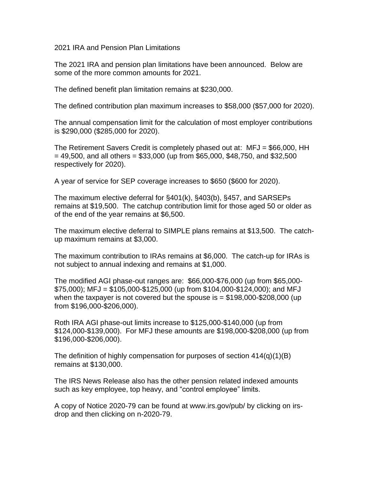2021 IRA and Pension Plan Limitations

The 2021 IRA and pension plan limitations have been announced. Below are some of the more common amounts for 2021.

The defined benefit plan limitation remains at \$230,000.

The defined contribution plan maximum increases to \$58,000 (\$57,000 for 2020).

The annual compensation limit for the calculation of most employer contributions is \$290,000 (\$285,000 for 2020).

The Retirement Savers Credit is completely phased out at: MFJ = \$66,000, HH  $= 49,500$ , and all others  $= $33,000$  (up from \$65,000, \$48,750, and \$32,500 respectively for 2020).

A year of service for SEP coverage increases to \$650 (\$600 for 2020).

The maximum elective deferral for §401(k), §403(b), §457, and SARSEPs remains at \$19,500. The catchup contribution limit for those aged 50 or older as of the end of the year remains at \$6,500.

The maximum elective deferral to SIMPLE plans remains at \$13,500. The catchup maximum remains at \$3,000.

The maximum contribution to IRAs remains at \$6,000. The catch-up for IRAs is not subject to annual indexing and remains at \$1,000.

The modified AGI phase-out ranges are: \$66,000-\$76,000 (up from \$65,000-  $$75,000$ ); MFJ = \$105,000-\$125,000 (up from \$104,000-\$124,000); and MFJ when the taxpayer is not covered but the spouse is  $= $198,000$ -\$208,000 (up from \$196,000-\$206,000).

Roth IRA AGI phase-out limits increase to \$125,000-\$140,000 (up from \$124,000-\$139,000). For MFJ these amounts are \$198,000-\$208,000 (up from \$196,000-\$206,000).

The definition of highly compensation for purposes of section 414(q)(1)(B) remains at \$130,000.

The IRS News Release also has the other pension related indexed amounts such as key employee, top heavy, and "control employee" limits.

A copy of Notice 2020-79 can be found at www.irs.gov/pub/ by clicking on irsdrop and then clicking on n-2020-79.